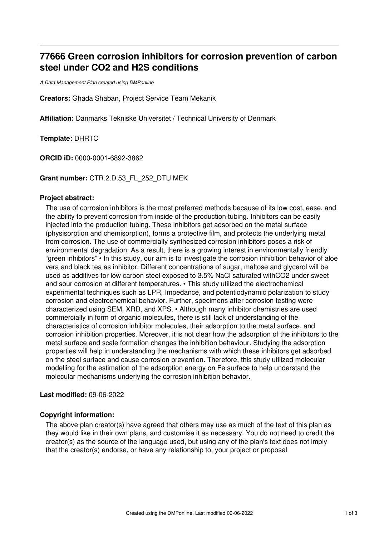# **77666 Green corrosion inhibitors for corrosion prevention of carbon steel under CO2 and H2S conditions**

*A Data Management Plan created using DMPonline*

**Creators:** Ghada Shaban, Project Service Team Mekanik

**Affiliation:** Danmarks Tekniske Universitet / Technical University of Denmark

**Template:** DHRTC

**ORCID iD:** 0000-0001-6892-3862

**Grant number:** CTR.2.D.53\_FL\_252\_DTU MEK

#### **Project abstract:**

The use of corrosion inhibitors is the most preferred methods because of its low cost, ease, and the ability to prevent corrosion from inside of the production tubing. Inhibitors can be easily injected into the production tubing. These inhibitors get adsorbed on the metal surface (physisorption and chemisorption), forms a protective film, and protects the underlying metal from corrosion. The use of commercially synthesized corrosion inhibitors poses a risk of environmental degradation. As a result, there is a growing interest in environmentally friendly "green inhibitors" • In this study, our aim is to investigate the corrosion inhibition behavior of aloe vera and black tea as inhibitor. Different concentrations of sugar, maltose and glycerol will be used as additives for low carbon steel exposed to 3.5% NaCl saturated withCO2 under sweet and sour corrosion at different temperatures. • This study utilized the electrochemical experimental techniques such as LPR, Impedance, and potentiodynamic polarization to study corrosion and electrochemical behavior. Further, specimens after corrosion testing were characterized using SEM, XRD, and XPS. • Although many inhibitor chemistries are used commercially in form of organic molecules, there is still lack of understanding of the characteristics of corrosion inhibitor molecules, their adsorption to the metal surface, and corrosion inhibition properties. Moreover, it is not clear how the adsorption of the inhibitors to the metal surface and scale formation changes the inhibition behaviour. Studying the adsorption properties will help in understanding the mechanisms with which these inhibitors get adsorbed on the steel surface and cause corrosion prevention. Therefore, this study utilized molecular modelling for the estimation of the adsorption energy on Fe surface to help understand the molecular mechanisms underlying the corrosion inhibition behavior.

### **Last modified:** 09-06-2022

#### **Copyright information:**

The above plan creator(s) have agreed that others may use as much of the text of this plan as they would like in their own plans, and customise it as necessary. You do not need to credit the creator(s) as the source of the language used, but using any of the plan's text does not imply that the creator(s) endorse, or have any relationship to, your project or proposal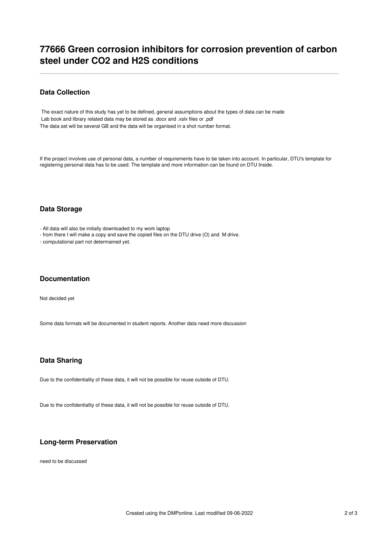## **77666 Green corrosion inhibitors for corrosion prevention of carbon steel under CO2 and H2S conditions**

### **Data Collection**

The exact nature of this study has yet to be defined, general assumptions about the types of data can be made Lab book and library related data may be stored as .docx and .xslx files or .pdf The data set will be several GB and the data will be organised in a shot number format.

If the project involves use of personal data, a number of requirements have to be taken into account. In particular, DTU's template for registering personal data has to be used. The template and more information can be found on DTU Inside.

### **Data Storage**

- All data will also be initially downloaded to my work laptop

- from there I will make a copy and save the copied files on the DTU drive (O) and M drive.

- computational part not determained yet.

#### **Documentation**

Not decided yet

Some data formats will be documented in student reports. Another data need more discussion

#### **Data Sharing**

Due to the confidentiality of these data, it will not be possible for reuse outside of DTU.

Due to the confidentiality of these data, it will not be possible for reuse outside of DTU.

#### **Long-term Preservation**

need to be discussed